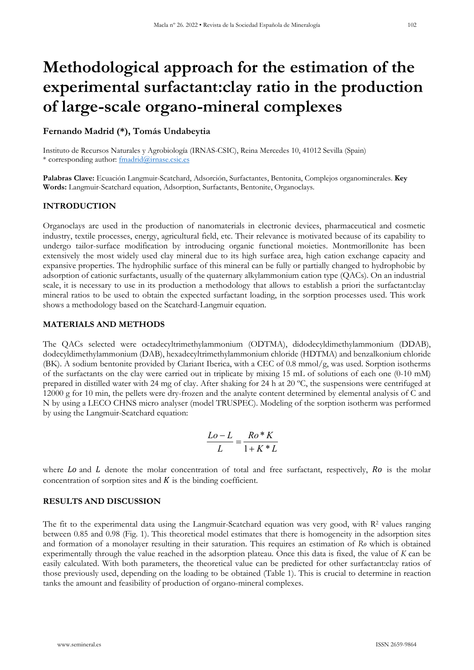# **Methodological approach for the estimation of the experimental surfactant:clay ratio in the production of large-scale organo-mineral complexes**

## **Fernando Madrid (\*), Tomás Undabeytia**

Instituto de Recursos Naturales y Agrobiología (IRNAS-CSIC), Reina Mercedes 10, 41012 Sevilla (Spain) \* corresponding author: [fmadrid@irnase.csic.es](mailto:fmadrid@irnase.csic.es)

**Palabras Clave:** Ecuación Langmuir-Scatchard, Adsorción, Surfactantes, Bentonita, Complejos organominerales. **Key Words:** Langmuir-Scatchard equation, Adsorption, Surfactants, Bentonite, Organoclays.

# **INTRODUCTION**

Organoclays are used in the production of nanomaterials in electronic devices, pharmaceutical and cosmetic industry, textile processes, energy, agricultural field, etc. Their relevance is motivated because of its capability to undergo tailor-surface modification by introducing organic functional moieties. Montmorillonite has been extensively the most widely used clay mineral due to its high surface area, high cation exchange capacity and expansive properties. The hydrophilic surface of this mineral can be fully or partially changed to hydrophobic by adsorption of cationic surfactants, usually of the quaternary alkylammonium cation type (QACs). On an industrial scale, it is necessary to use in its production a methodology that allows to establish a priori the surfactant:clay mineral ratios to be used to obtain the expected surfactant loading, in the sorption processes used. This work shows a methodology based on the Scatchard-Langmuir equation.

### **MATERIALS AND METHODS**

The QACs selected were octadecyltrimethylammonium (ODTMA), didodecyldimethylammonium (DDAB), dodecyldimethylammonium (DAB), hexadecyltrimethylammonium chloride (HDTMA) and benzalkonium chloride (BK). A sodium bentonite provided by Clariant Iberica, with a CEC of 0.8 mmol/g, was used. Sorption isotherms of the surfactants on the clay were carried out in triplicate by mixing 15 mL of solutions of each one (0-10 mM) prepared in distilled water with 24 mg of clay. After shaking for 24 h at 20 ºC, the suspensions were centrifuged at 12000 g for 10 min, the pellets were dry-frozen and the analyte content determined by elemental analysis of C and N by using a LECO CHNS micro analyser (model TRUSPEC). Modeling of the sorption isotherm was performed by using the Langmuir-Scatchard equation:

$$
\frac{Lo - L}{L} = \frac{Ro * K}{1 + K * L}
$$

where  $L_0$  and  $L$  denote the molar concentration of total and free surfactant, respectively,  $R_0$  is the molar concentration of sorption sites and  $K$  is the binding coefficient.

# **RESULTS AND DISCUSSION**

The fit to the experimental data using the Langmuir-Scatchard equation was very good, with  $R<sup>2</sup>$  values ranging between 0.85 and 0.98 (Fig. 1). This theoretical model estimates that there is homogeneity in the adsorption sites and formation of a monolayer resulting in their saturation. This requires an estimation of *Ro* which is obtained experimentally through the value reached in the adsorption plateau. Once this data is fixed, the value of *K* can be easily calculated. With both parameters, the theoretical value can be predicted for other surfactant:clay ratios of those previously used, depending on the loading to be obtained (Table 1). This is crucial to determine in reaction tanks the amount and feasibility of production of organo-mineral complexes.